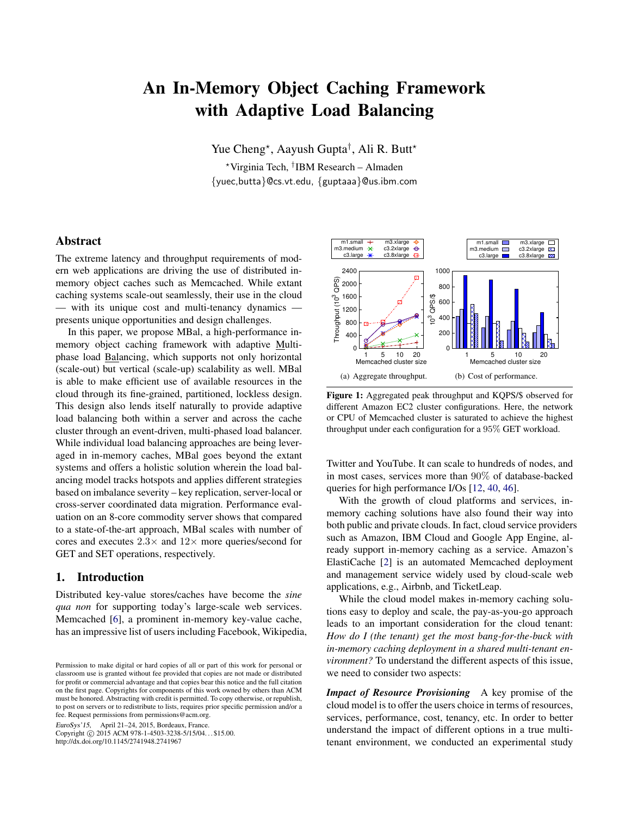# An In-Memory Object Caching Framework with Adaptive Load Balancing

Yue Cheng\*, Aayush Gupta<sup>†</sup>, Ali R. Butt\*

<sup>⋆</sup>Virginia Tech, † IBM Research – Almaden {yuec,butta}@cs.vt.edu, {guptaaa}@us.ibm.com

## Abstract

The extreme latency and throughput requirements of modern web applications are driving the use of distributed inmemory object caches such as Memcached. While extant caching systems scale-out seamlessly, their use in the cloud — with its unique cost and multi-tenancy dynamics presents unique opportunities and design challenges.

In this paper, we propose MBal, a high-performance inmemory object caching framework with adaptive Multiphase load Balancing, which supports not only horizontal (scale-out) but vertical (scale-up) scalability as well. MBal is able to make efficient use of available resources in the cloud through its fine-grained, partitioned, lockless design. This design also lends itself naturally to provide adaptive load balancing both within a server and across the cache cluster through an event-driven, multi-phased load balancer. While individual load balancing approaches are being leveraged in in-memory caches, MBal goes beyond the extant systems and offers a holistic solution wherein the load balancing model tracks hotspots and applies different strategies based on imbalance severity – key replication, server-local or cross-server coordinated data migration. Performance evaluation on an 8-core commodity server shows that compared to a state-of-the-art approach, MBal scales with number of cores and executes  $2.3\times$  and  $12\times$  more queries/second for GET and SET operations, respectively.

# 1. Introduction

Distributed key-value stores/caches have become the *sine qua non* for supporting today's large-scale web services. Memcached [\[6\]](#page-14-0), a prominent in-memory key-value cache, has an impressive list of users including Facebook, Wikipedia,

EuroSys'15, April 21–24, 2015, Bordeaux, France.

Copyright © 2015 ACM 978-1-4503-3238-5/15/04... \$15.00. http://dx.doi.org/10.1145/2741948.2741967

<span id="page-0-1"></span><span id="page-0-0"></span>

<span id="page-0-2"></span>Figure 1: Aggregated peak throughput and KQPS/\$ observed for different Amazon EC2 cluster configurations. Here, the network or CPU of Memcached cluster is saturated to achieve the highest throughput under each configuration for a 95% GET workload.

Twitter and YouTube. It can scale to hundreds of nodes, and in most cases, services more than 90% of database-backed queries for high performance I/Os [\[12](#page-14-1), [40](#page-15-0), [46](#page-15-1)].

With the growth of cloud platforms and services, inmemory caching solutions have also found their way into both public and private clouds. In fact, cloud service providers such as Amazon, IBM Cloud and Google App Engine, already support in-memory caching as a service. Amazon's ElastiCache [\[2](#page-14-2)] is an automated Memcached deployment and management service widely used by cloud-scale web applications, e.g., Airbnb, and TicketLeap.

While the cloud model makes in-memory caching solutions easy to deploy and scale, the pay-as-you-go approach leads to an important consideration for the cloud tenant: *How do I (the tenant) get the most bang-for-the-buck with in-memory caching deployment in a shared multi-tenant environment?* To understand the different aspects of this issue, we need to consider two aspects:

*Impact of Resource Provisioning* A key promise of the cloud model is to offer the users choice in terms of resources, services, performance, cost, tenancy, etc. In order to better understand the impact of different options in a true multitenant environment, we conducted an experimental study

Permission to make digital or hard copies of all or part of this work for personal or classroom use is granted without fee provided that copies are not made or distributed for profit or commercial advantage and that copies bear this notice and the full citation on the first page. Copyrights for components of this work owned by others than ACM must be honored. Abstracting with credit is permitted. To copy otherwise, or republish, to post on servers or to redistribute to lists, requires prior specific permission and/or a fee. Request permissions from permissions@acm.org.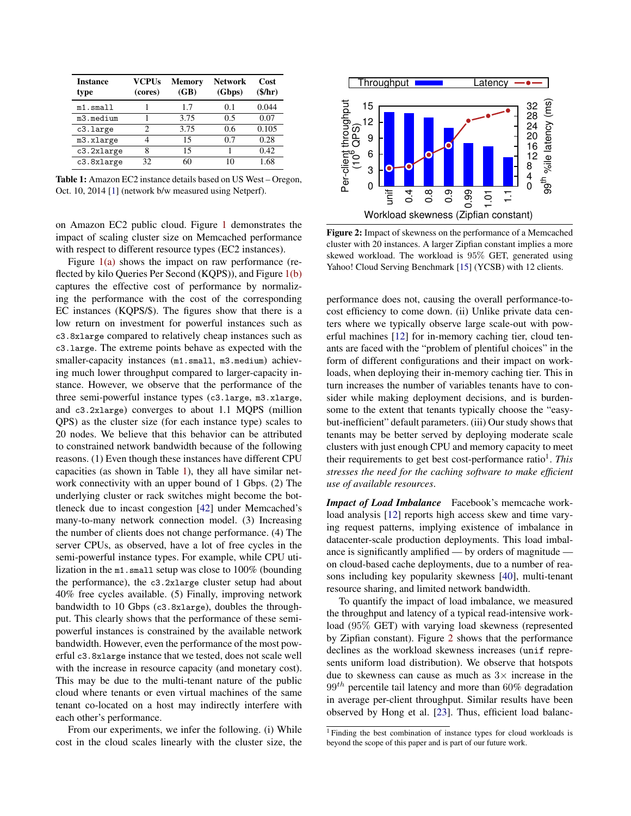<span id="page-1-0"></span>

| <b>Instance</b><br>type | <b>VCPUs</b><br>(cores) | Memory<br>(GB) | <b>Network</b><br>(Gbps) | Cost<br>$(\frac{\epsilon}{\hbar})$ |
|-------------------------|-------------------------|----------------|--------------------------|------------------------------------|
| $m1$ .small             |                         | 1.7            | 0.1                      | 0.044                              |
| m3.medium               |                         | 3.75           | 0.5                      | 0.07                               |
| c3.large                | 2                       | 3.75           | 0.6                      | 0.105                              |
| m3.xlarge               |                         | 15             | 0.7                      | 0.28                               |
| c3.2xlarge              | 8                       | 15             |                          | 0.42                               |
| c3.8xlarge              | 32.                     | 60             | 10                       | 1.68                               |

Table 1: Amazon EC2 instance details based on US West – Oregon, Oct. 10, 2014 [\[1\]](#page-14-3) (network b/w measured using Netperf).

on Amazon EC2 public cloud. Figure [1](#page-0-0) demonstrates the impact of scaling cluster size on Memcached performance with respect to different resource types (EC2 instances).

Figure  $1(a)$  shows the impact on raw performance (reflected by kilo Queries Per Second (KQPS)), and Figure [1\(b\)](#page-0-2) captures the effective cost of performance by normalizing the performance with the cost of the corresponding EC instances (KQPS/\$). The figures show that there is a low return on investment for powerful instances such as c3.8xlarge compared to relatively cheap instances such as c3.large. The extreme points behave as expected with the smaller-capacity instances (m1.small, m3.medium) achieving much lower throughput compared to larger-capacity instance. However, we observe that the performance of the three semi-powerful instance types (c3.large, m3.xlarge, and c3.2xlarge) converges to about 1.1 MQPS (million QPS) as the cluster size (for each instance type) scales to 20 nodes. We believe that this behavior can be attributed to constrained network bandwidth because of the following reasons. (1) Even though these instances have different CPU capacities (as shown in Table [1\)](#page-1-0), they all have similar network connectivity with an upper bound of 1 Gbps. (2) The underlying cluster or rack switches might become the bottleneck due to incast congestion [\[42](#page-15-2)] under Memcached's many-to-many network connection model. (3) Increasing the number of clients does not change performance. (4) The server CPUs, as observed, have a lot of free cycles in the semi-powerful instance types. For example, while CPU utilization in the m1.small setup was close to 100% (bounding the performance), the c3.2xlarge cluster setup had about 40% free cycles available. (5) Finally, improving network bandwidth to 10 Gbps (c3.8xlarge), doubles the throughput. This clearly shows that the performance of these semipowerful instances is constrained by the available network bandwidth. However, even the performance of the most powerful c3.8xlarge instance that we tested, does not scale well with the increase in resource capacity (and monetary cost). This may be due to the multi-tenant nature of the public cloud where tenants or even virtual machines of the same tenant co-located on a host may indirectly interfere with each other's performance.

From our experiments, we infer the following. (i) While cost in the cloud scales linearly with the cluster size, the

<span id="page-1-1"></span>

Figure 2: Impact of skewness on the performance of a Memcached cluster with 20 instances. A larger Zipfian constant implies a more skewed workload. The workload is 95% GET, generated using Yahoo! Cloud Serving Benchmark [\[15](#page-14-4)] (YCSB) with 12 clients.

performance does not, causing the overall performance-tocost efficiency to come down. (ii) Unlike private data centers where we typically observe large scale-out with powerful machines [\[12](#page-14-1)] for in-memory caching tier, cloud tenants are faced with the "problem of plentiful choices" in the form of different configurations and their impact on workloads, when deploying their in-memory caching tier. This in turn increases the number of variables tenants have to consider while making deployment decisions, and is burdensome to the extent that tenants typically choose the "easybut-inefficient" default parameters. (iii) Our study shows that tenants may be better served by deploying moderate scale clusters with just enough CPU and memory capacity to meet their requirements to get best cost-performance ratio<sup>1</sup>. This *stresses the need for the caching software to make efficient use of available resources*.

*Impact of Load Imbalance* Facebook's memcache workload analysis [\[12](#page-14-1)] reports high access skew and time varying request patterns, implying existence of imbalance in datacenter-scale production deployments. This load imbalance is significantly amplified — by orders of magnitude on cloud-based cache deployments, due to a number of reasons including key popularity skewness [\[40\]](#page-15-0), multi-tenant resource sharing, and limited network bandwidth.

To quantify the impact of load imbalance, we measured the throughput and latency of a typical read-intensive workload (95% GET) with varying load skewness (represented by Zipfian constant). Figure [2](#page-1-1) shows that the performance declines as the workload skewness increases (unif represents uniform load distribution). We observe that hotspots due to skewness can cause as much as  $3\times$  increase in the  $99<sup>th</sup>$  percentile tail latency and more than 60% degradation in average per-client throughput. Similar results have been observed by Hong et al. [\[23\]](#page-14-5). Thus, efficient load balanc-

<sup>1</sup> Finding the best combination of instance types for cloud workloads is beyond the scope of this paper and is part of our future work.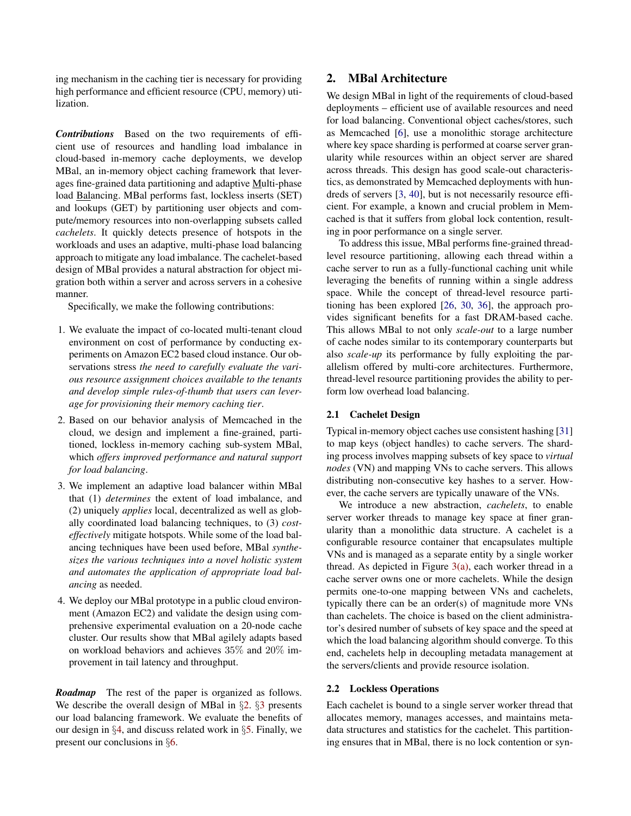ing mechanism in the caching tier is necessary for providing high performance and efficient resource (CPU, memory) utilization.

*Contributions* Based on the two requirements of efficient use of resources and handling load imbalance in cloud-based in-memory cache deployments, we develop MBal, an in-memory object caching framework that leverages fine-grained data partitioning and adaptive Multi-phase load Balancing. MBal performs fast, lockless inserts (SET) and lookups (GET) by partitioning user objects and compute/memory resources into non-overlapping subsets called *cachelets*. It quickly detects presence of hotspots in the workloads and uses an adaptive, multi-phase load balancing approach to mitigate any load imbalance. The cachelet-based design of MBal provides a natural abstraction for object migration both within a server and across servers in a cohesive manner.

Specifically, we make the following contributions:

- 1. We evaluate the impact of co-located multi-tenant cloud environment on cost of performance by conducting experiments on Amazon EC2 based cloud instance. Our observations stress *the need to carefully evaluate the various resource assignment choices available to the tenants and develop simple rules-of-thumb that users can leverage for provisioning their memory caching tier*.
- 2. Based on our behavior analysis of Memcached in the cloud, we design and implement a fine-grained, partitioned, lockless in-memory caching sub-system MBal, which *offers improved performance and natural support for load balancing*.
- 3. We implement an adaptive load balancer within MBal that (1) *determines* the extent of load imbalance, and (2) uniquely *applies* local, decentralized as well as globally coordinated load balancing techniques, to (3) *costeffectively* mitigate hotspots. While some of the load balancing techniques have been used before, MBal *synthesizes the various techniques into a novel holistic system and automates the application of appropriate load balancing* as needed.
- 4. We deploy our MBal prototype in a public cloud environment (Amazon EC2) and validate the design using comprehensive experimental evaluation on a 20-node cache cluster. Our results show that MBal agilely adapts based on workload behaviors and achieves 35% and 20% improvement in tail latency and throughput.

*Roadmap* The rest of the paper is organized as follows. We describe the overall design of MBal in  $\S2$ .  $\S3$  $\S3$  presents our load balancing framework. We evaluate the benefits of our design in §[4](#page-8-0), and discuss related work in §[5.](#page-13-0) Finally, we present our conclusions in §[6](#page-13-1).

# <span id="page-2-0"></span>2. MBal Architecture

We design MBal in light of the requirements of cloud-based deployments – efficient use of available resources and need for load balancing. Conventional object caches/stores, such as Memcached [\[6](#page-14-0)], use a monolithic storage architecture where key space sharding is performed at coarse server granularity while resources within an object server are shared across threads. This design has good scale-out characteristics, as demonstrated by Memcached deployments with hundreds of servers [\[3,](#page-14-6) [40](#page-15-0)], but is not necessarily resource efficient. For example, a known and crucial problem in Memcached is that it suffers from global lock contention, resulting in poor performance on a single server.

To address this issue, MBal performs fine-grained threadlevel resource partitioning, allowing each thread within a cache server to run as a fully-functional caching unit while leveraging the benefits of running within a single address space. While the concept of thread-level resource partitioning has been explored [\[26,](#page-14-7) [30](#page-14-8), [36](#page-15-3)], the approach provides significant benefits for a fast DRAM-based cache. This allows MBal to not only *scale-out* to a large number of cache nodes similar to its contemporary counterparts but also *scale-up* its performance by fully exploiting the parallelism offered by multi-core architectures. Furthermore, thread-level resource partitioning provides the ability to perform low overhead load balancing.

## 2.1 Cachelet Design

Typical in-memory object caches use consistent hashing [\[31\]](#page-15-4) to map keys (object handles) to cache servers. The sharding process involves mapping subsets of key space to *virtual nodes* (VN) and mapping VNs to cache servers. This allows distributing non-consecutive key hashes to a server. However, the cache servers are typically unaware of the VNs.

We introduce a new abstraction, *cachelets*, to enable server worker threads to manage key space at finer granularity than a monolithic data structure. A cachelet is a configurable resource container that encapsulates multiple VNs and is managed as a separate entity by a single worker thread. As depicted in Figure  $3(a)$ , each worker thread in a cache server owns one or more cachelets. While the design permits one-to-one mapping between VNs and cachelets, typically there can be an order(s) of magnitude more VNs than cachelets. The choice is based on the client administrator's desired number of subsets of key space and the speed at which the load balancing algorithm should converge. To this end, cachelets help in decoupling metadata management at the servers/clients and provide resource isolation.

## 2.2 Lockless Operations

Each cachelet is bound to a single server worker thread that allocates memory, manages accesses, and maintains metadata structures and statistics for the cachelet. This partitioning ensures that in MBal, there is no lock contention or syn-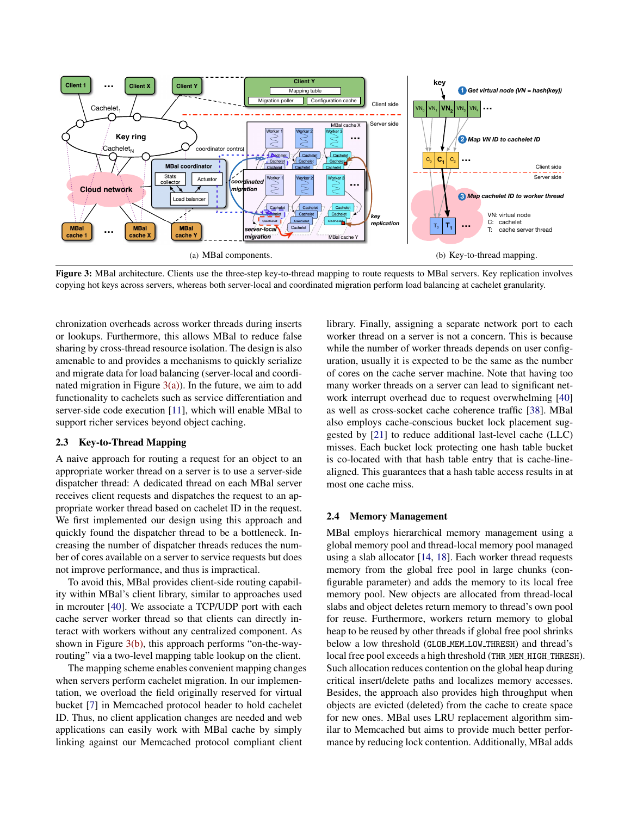<span id="page-3-0"></span>

Figure 3: MBal architecture. Clients use the three-step key-to-thread mapping to route requests to MBal servers. Key replication involves copying hot keys across servers, whereas both server-local and coordinated migration perform load balancing at cachelet granularity.

chronization overheads across worker threads during inserts or lookups. Furthermore, this allows MBal to reduce false sharing by cross-thread resource isolation. The design is also amenable to and provides a mechanisms to quickly serialize and migrate data for load balancing (server-local and coordinated migration in Figure  $3(a)$ ). In the future, we aim to add functionality to cachelets such as service differentiation and server-side code execution [\[11\]](#page-14-9), which will enable MBal to support richer services beyond object caching.

## 2.3 Key-to-Thread Mapping

A naive approach for routing a request for an object to an appropriate worker thread on a server is to use a server-side dispatcher thread: A dedicated thread on each MBal server receives client requests and dispatches the request to an appropriate worker thread based on cachelet ID in the request. We first implemented our design using this approach and quickly found the dispatcher thread to be a bottleneck. Increasing the number of dispatcher threads reduces the number of cores available on a server to service requests but does not improve performance, and thus is impractical.

To avoid this, MBal provides client-side routing capability within MBal's client library, similar to approaches used in mcrouter [\[40\]](#page-15-0). We associate a TCP/UDP port with each cache server worker thread so that clients can directly interact with workers without any centralized component. As shown in Figure [3\(b\),](#page-3-1) this approach performs "on-the-wayrouting" via a two-level mapping table lookup on the client.

The mapping scheme enables convenient mapping changes when servers perform cachelet migration. In our implementation, we overload the field originally reserved for virtual bucket [\[7\]](#page-14-10) in Memcached protocol header to hold cachelet ID. Thus, no client application changes are needed and web applications can easily work with MBal cache by simply linking against our Memcached protocol compliant client

<span id="page-3-1"></span>library. Finally, assigning a separate network port to each worker thread on a server is not a concern. This is because while the number of worker threads depends on user configuration, usually it is expected to be the same as the number of cores on the cache server machine. Note that having too many worker threads on a server can lead to significant network interrupt overhead due to request overwhelming [\[40\]](#page-15-0) as well as cross-socket cache coherence traffic [\[38](#page-15-5)]. MBal also employs cache-conscious bucket lock placement suggested by [\[21\]](#page-14-11) to reduce additional last-level cache (LLC) misses. Each bucket lock protecting one hash table bucket is co-located with that hash table entry that is cache-linealigned. This guarantees that a hash table access results in at most one cache miss.

#### <span id="page-3-2"></span>2.4 Memory Management

MBal employs hierarchical memory management using a global memory pool and thread-local memory pool managed using a slab allocator [\[14](#page-14-12), [18\]](#page-14-13). Each worker thread requests memory from the global free pool in large chunks (configurable parameter) and adds the memory to its local free memory pool. New objects are allocated from thread-local slabs and object deletes return memory to thread's own pool for reuse. Furthermore, workers return memory to global heap to be reused by other threads if global free pool shrinks below a low threshold (GLOB MEM LOW THRESH) and thread's local free pool exceeds a high threshold (THR\_MEM\_HIGH\_THRESH). Such allocation reduces contention on the global heap during critical insert/delete paths and localizes memory accesses. Besides, the approach also provides high throughput when objects are evicted (deleted) from the cache to create space for new ones. MBal uses LRU replacement algorithm similar to Memcached but aims to provide much better performance by reducing lock contention. Additionally, MBal adds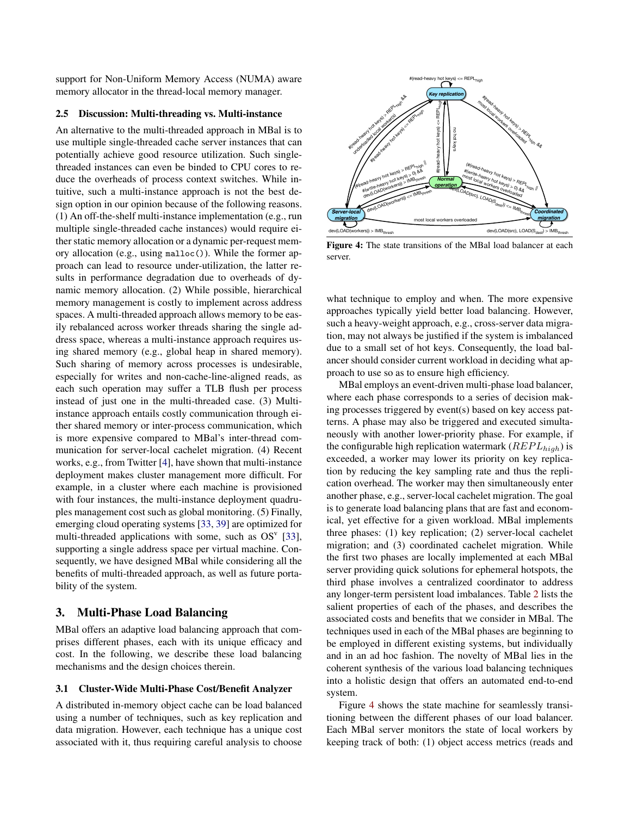support for Non-Uniform Memory Access (NUMA) aware memory allocator in the thread-local memory manager.

#### <span id="page-4-2"></span>2.5 Discussion: Multi-threading vs. Multi-instance

An alternative to the multi-threaded approach in MBal is to use multiple single-threaded cache server instances that can potentially achieve good resource utilization. Such singlethreaded instances can even be binded to CPU cores to reduce the overheads of process context switches. While intuitive, such a multi-instance approach is not the best design option in our opinion because of the following reasons. (1) An off-the-shelf multi-instance implementation (e.g., run multiple single-threaded cache instances) would require either static memory allocation or a dynamic per-request memory allocation (e.g., using malloc()). While the former approach can lead to resource under-utilization, the latter results in performance degradation due to overheads of dynamic memory allocation. (2) While possible, hierarchical memory management is costly to implement across address spaces. A multi-threaded approach allows memory to be easily rebalanced across worker threads sharing the single address space, whereas a multi-instance approach requires using shared memory (e.g., global heap in shared memory). Such sharing of memory across processes is undesirable, especially for writes and non-cache-line-aligned reads, as each such operation may suffer a TLB flush per process instead of just one in the multi-threaded case. (3) Multiinstance approach entails costly communication through either shared memory or inter-process communication, which is more expensive compared to MBal's inter-thread communication for server-local cachelet migration. (4) Recent works, e.g., from Twitter [\[4](#page-14-14)], have shown that multi-instance deployment makes cluster management more difficult. For example, in a cluster where each machine is provisioned with four instances, the multi-instance deployment quadruples management cost such as global monitoring. (5) Finally, emerging cloud operating systems [\[33,](#page-15-6) [39\]](#page-15-7) are optimized for multi-threaded applications with some, such as  $OS<sup>v</sup>$  [\[33](#page-15-6)], supporting a single address space per virtual machine. Consequently, we have designed MBal while considering all the benefits of multi-threaded approach, as well as future portability of the system.

## <span id="page-4-0"></span>3. Multi-Phase Load Balancing

MBal offers an adaptive load balancing approach that comprises different phases, each with its unique efficacy and cost. In the following, we describe these load balancing mechanisms and the design choices therein.

#### 3.1 Cluster-Wide Multi-Phase Cost/Benefit Analyzer

A distributed in-memory object cache can be load balanced using a number of techniques, such as key replication and data migration. However, each technique has a unique cost associated with it, thus requiring careful analysis to choose

<span id="page-4-1"></span>

Figure 4: The state transitions of the MBal load balancer at each server.

what technique to employ and when. The more expensive approaches typically yield better load balancing. However, such a heavy-weight approach, e.g., cross-server data migration, may not always be justified if the system is imbalanced due to a small set of hot keys. Consequently, the load balancer should consider current workload in deciding what approach to use so as to ensure high efficiency.

MBal employs an event-driven multi-phase load balancer, where each phase corresponds to a series of decision making processes triggered by event(s) based on key access patterns. A phase may also be triggered and executed simultaneously with another lower-priority phase. For example, if the configurable high replication watermark ( $REPL_{high}$ ) is exceeded, a worker may lower its priority on key replication by reducing the key sampling rate and thus the replication overhead. The worker may then simultaneously enter another phase, e.g., server-local cachelet migration. The goal is to generate load balancing plans that are fast and economical, yet effective for a given workload. MBal implements three phases: (1) key replication; (2) server-local cachelet migration; and (3) coordinated cachelet migration. While the first two phases are locally implemented at each MBal server providing quick solutions for ephemeral hotspots, the third phase involves a centralized coordinator to address any longer-term persistent load imbalances. Table [2](#page-5-0) lists the salient properties of each of the phases, and describes the associated costs and benefits that we consider in MBal. The techniques used in each of the MBal phases are beginning to be employed in different existing systems, but individually and in an ad hoc fashion. The novelty of MBal lies in the coherent synthesis of the various load balancing techniques into a holistic design that offers an automated end-to-end system.

Figure [4](#page-4-1) shows the state machine for seamlessly transitioning between the different phases of our load balancer. Each MBal server monitors the state of local workers by keeping track of both: (1) object access metrics (reads and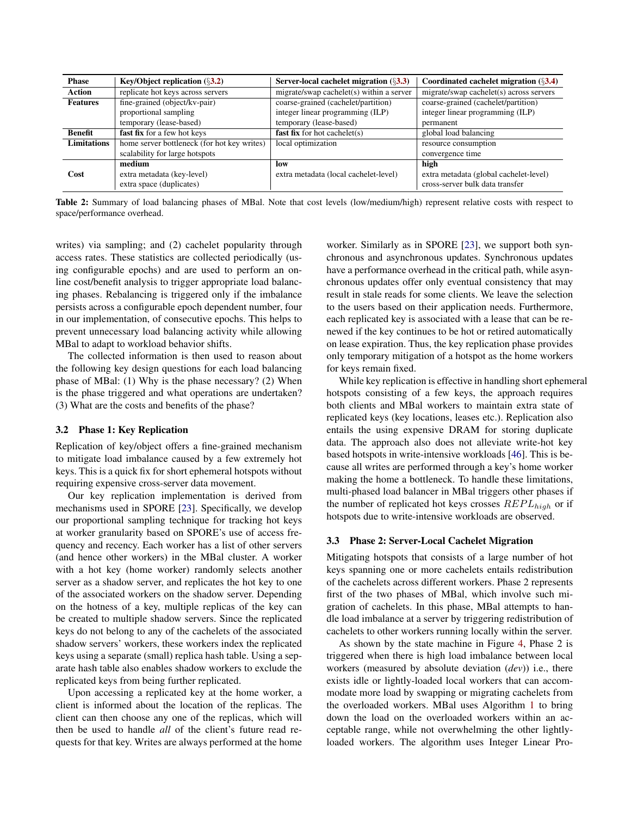<span id="page-5-0"></span>

| <b>Phase</b>       | Key/Object replication $(\S3.2)$            | Server-local cachelet migration $(\S3.3)$ | Coordinated cachelet migration $(\S3.4)$ |
|--------------------|---------------------------------------------|-------------------------------------------|------------------------------------------|
| Action             | replicate hot keys across servers           | migrate/swap cachelet(s) within a server  | migrate/swap cachelet(s) across servers  |
| <b>Features</b>    | fine-grained (object/kv-pair)               | coarse-grained (cachelet/partition)       | coarse-grained (cachelet/partition)      |
|                    | proportional sampling                       | integer linear programming (ILP)          | integer linear programming (ILP)         |
|                    | temporary (lease-based)                     | temporary (lease-based)                   | permanent                                |
| <b>Benefit</b>     | fast fix for a few hot keys                 | <b>fast fix</b> for hot cachelet( $s$ )   | global load balancing                    |
| <b>Limitations</b> | home server bottleneck (for hot key writes) | local optimization                        | resource consumption                     |
|                    | scalability for large hotspots              |                                           | convergence time                         |
|                    | medium                                      | low                                       | high                                     |
| Cost               | extra metadata (key-level)                  | extra metadata (local cachelet-level)     | extra metadata (global cachelet-level)   |
|                    | extra space (duplicates)                    |                                           | cross-server bulk data transfer          |

Table 2: Summary of load balancing phases of MBal. Note that cost levels (low/medium/high) represent relative costs with respect to space/performance overhead.

writes) via sampling; and (2) cachelet popularity through access rates. These statistics are collected periodically (using configurable epochs) and are used to perform an online cost/benefit analysis to trigger appropriate load balancing phases. Rebalancing is triggered only if the imbalance persists across a configurable epoch dependent number, four in our implementation, of consecutive epochs. This helps to prevent unnecessary load balancing activity while allowing MBal to adapt to workload behavior shifts.

The collected information is then used to reason about the following key design questions for each load balancing phase of MBal: (1) Why is the phase necessary? (2) When is the phase triggered and what operations are undertaken? (3) What are the costs and benefits of the phase?

#### 3.2 Phase 1: Key Replication

Replication of key/object offers a fine-grained mechanism to mitigate load imbalance caused by a few extremely hot keys. This is a quick fix for short ephemeral hotspots without requiring expensive cross-server data movement.

Our key replication implementation is derived from mechanisms used in SPORE [\[23](#page-14-5)]. Specifically, we develop our proportional sampling technique for tracking hot keys at worker granularity based on SPORE's use of access frequency and recency. Each worker has a list of other servers (and hence other workers) in the MBal cluster. A worker with a hot key (home worker) randomly selects another server as a shadow server, and replicates the hot key to one of the associated workers on the shadow server. Depending on the hotness of a key, multiple replicas of the key can be created to multiple shadow servers. Since the replicated keys do not belong to any of the cachelets of the associated shadow servers' workers, these workers index the replicated keys using a separate (small) replica hash table. Using a separate hash table also enables shadow workers to exclude the replicated keys from being further replicated.

Upon accessing a replicated key at the home worker, a client is informed about the location of the replicas. The client can then choose any one of the replicas, which will then be used to handle *all* of the client's future read requests for that key. Writes are always performed at the home

worker. Similarly as in SPORE [\[23\]](#page-14-5), we support both synchronous and asynchronous updates. Synchronous updates have a performance overhead in the critical path, while asynchronous updates offer only eventual consistency that may result in stale reads for some clients. We leave the selection to the users based on their application needs. Furthermore, each replicated key is associated with a lease that can be renewed if the key continues to be hot or retired automatically on lease expiration. Thus, the key replication phase provides only temporary mitigation of a hotspot as the home workers for keys remain fixed.

While key replication is effective in handling short ephemeral hotspots consisting of a few keys, the approach requires both clients and MBal workers to maintain extra state of replicated keys (key locations, leases etc.). Replication also entails the using expensive DRAM for storing duplicate data. The approach also does not alleviate write-hot key based hotspots in write-intensive workloads [\[46](#page-15-1)]. This is because all writes are performed through a key's home worker making the home a bottleneck. To handle these limitations, multi-phased load balancer in MBal triggers other phases if the number of replicated hot keys crosses  $REPL_{high}$  or if hotspots due to write-intensive workloads are observed.

#### 3.3 Phase 2: Server-Local Cachelet Migration

Mitigating hotspots that consists of a large number of hot keys spanning one or more cachelets entails redistribution of the cachelets across different workers. Phase 2 represents first of the two phases of MBal, which involve such migration of cachelets. In this phase, MBal attempts to handle load imbalance at a server by triggering redistribution of cachelets to other workers running locally within the server.

As shown by the state machine in Figure [4,](#page-4-1) Phase 2 is triggered when there is high load imbalance between local workers (measured by absolute deviation (*dev*)) i.e., there exists idle or lightly-loaded local workers that can accommodate more load by swapping or migrating cachelets from the overloaded workers. MBal uses Algorithm [1](#page-6-0) to bring down the load on the overloaded workers within an acceptable range, while not overwhelming the other lightlyloaded workers. The algorithm uses Integer Linear Pro-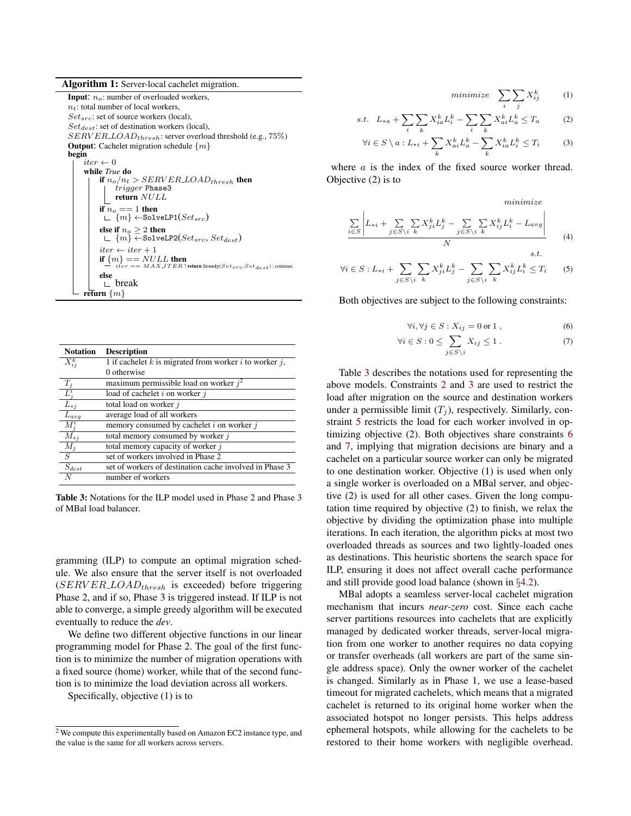Algorithm 1: Server-local cachelet migration.

**Input:**  $n_o$ : number of overloaded workers,  $n_t$ : total number of local workers,  $Set_{src}$ : set of source workers (local),  $Set_{dest}$ : set of destination workers (local),  $SERVER\_LOAD_{thresh}$ : server overload threshold (e.g., 75%) **Output:** Cachelet migration schedule  $\{m\}$ begin  $iter \leftarrow 0$ while *True* do if  $n_o/n_t > SERNVER\_LOAD_{thresh}$  then  $trigger$  Phase3 return NULL if  $n_o == 1$  then  $\Box$  { $m$ }  $\leftarrow$  SolveLP1( $Set_{src}$ ) else if  $n_o \geq 2$  then<br> ∟  $\{m\}$  ←SolveLP2( $Set_{src}$ ,  $Set_{dest}$ )  $iter\leftarrow iter+1$ if  ${m}$  =  $NULL$  then  $iter == MAX. ITER$ ? return Greedy( $Setsrc, Set_{dest}$ ) : continue else  $\mathsf{L}$  break return  $\{m\}$ 

<span id="page-6-1"></span><span id="page-6-0"></span>

| <b>Notation</b>      | <b>Description</b>                                            |
|----------------------|---------------------------------------------------------------|
| $X_{ii}^k$           | 1 if cachelet $k$ is migrated from worker $i$ to worker $j$ , |
|                      | 0 otherwise                                                   |
| $T_i$                | maximum permissible load on worker $i^2$                      |
| $L^i$                | load of cachelet $i$ on worker $j$                            |
| $L_{*j}$             | total load on worker j                                        |
| $L_{avg}$            | average load of all workers                                   |
| $M^i_{\dot{s}}$      | memory consumed by cachelet $i$ on worker $j$                 |
| $M_{*j}$             | total memory consumed by worker j                             |
| $M_j$                | total memory capacity of worker $j$                           |
| S                    | set of workers involved in Phase 2                            |
| $\mathcal{S}_{dest}$ | set of workers of destination cache involved in Phase 3       |
|                      | number of workers                                             |

Table 3: Notations for the ILP model used in Phase 2 and Phase 3 of MBal load balancer.

gramming (ILP) to compute an optimal migration schedule. We also ensure that the server itself is not overloaded  $(SERNERLOAD<sub>thresh</sub>$  is exceeded) before triggering Phase 2, and if so, Phase 3 is triggered instead. If ILP is not able to converge, a simple greedy algorithm will be executed eventually to reduce the *dev*.

We define two different objective functions in our linear programming model for Phase 2. The goal of the first function is to minimize the number of migration operations with a fixed source (home) worker, while that of the second function is to minimize the load deviation across all workers.

Specifically, objective (1) is to

 $minimize \sum$ i  $\sum$ j  $X^k_{i'}$  $(1)$ 

s.t. 
$$
L_{*a} + \sum_{i} \sum_{k} X_{ia}^{k} L_{i}^{k} - \sum_{i} \sum_{k} X_{ai}^{k} L_{a}^{k} \leq T_{a}
$$
 (2)

$$
\forall i \in S \setminus a : L_{*i} + \sum_{k} X_{ai}^{k} L_{a}^{k} - \sum_{k} X_{ia}^{k} L_{i}^{k} \le T_{i}
$$
 (3)

where  $\alpha$  is the index of the fixed source worker thread. Objective (2) is to

<span id="page-6-6"></span><span id="page-6-5"></span><span id="page-6-4"></span><span id="page-6-3"></span><span id="page-6-2"></span>minimize

$$
\frac{\sum\limits_{i\in S} \left| L_{*i} + \sum\limits_{j\in S\backslash i} \sum\limits_{k} X_{ji}^{k} L_{j}^{k} - \sum\limits_{j\in S\backslash i} \sum\limits_{k} X_{ij}^{k} L_{i}^{k} - L_{avg} \right|}{N}
$$
\n(4)

 $\forall i \in S : L_{*i} + \sum$  $j\in S\backslash i$  $\sum$ k  $X_{ji}^k L_j^k - \sum$  $j\in S\backslash i$  $\sum$ k  $X_{ij}^k L_i^k \leq T_i$  (5)

Both objectives are subject to the following constraints:

$$
\forall i, \forall j \in S: X_{ij} = 0 \text{ or } 1 , \qquad (6)
$$

$$
\forall i \in S : 0 \le \sum_{j \in S \setminus i} X_{ij} \le 1. \tag{7}
$$

Table [3](#page-6-1) describes the notations used for representing the above models. Constraints [2](#page-6-2) and [3](#page-6-3) are used to restrict the load after migration on the source and destination workers under a permissible limit  $(T_i)$ , respectively. Similarly, constraint [5](#page-6-4) restricts the load for each worker involved in optimizing objective (2). Both objectives share constraints [6](#page-6-5) and [7,](#page-6-6) implying that migration decisions are binary and a cachelet on a particular source worker can only be migrated to one destination worker. Objective (1) is used when only a single worker is overloaded on a MBal server, and objective (2) is used for all other cases. Given the long computation time required by objective (2) to finish, we relax the objective by dividing the optimization phase into multiple iterations. In each iteration, the algorithm picks at most two overloaded threads as sources and two lightly-loaded ones as destinations. This heuristic shortens the search space for ILP, ensuring it does not affect overall cache performance and still provide good load balance (shown in §[4.2\)](#page-10-0).

MBal adopts a seamless server-local cachelet migration mechanism that incurs *near-zero* cost. Since each cache server partitions resources into cachelets that are explicitly managed by dedicated worker threads, server-local migration from one worker to another requires no data copying or transfer overheads (all workers are part of the same single address space). Only the owner worker of the cachelet is changed. Similarly as in Phase 1, we use a lease-based timeout for migrated cachelets, which means that a migrated cachelet is returned to its original home worker when the associated hotspot no longer persists. This helps address ephemeral hotspots, while allowing for the cachelets to be restored to their home workers with negligible overhead.

 $2\overline{V}$  We compute this experimentally based on Amazon EC2 instance type, and the value is the same for all workers across servers.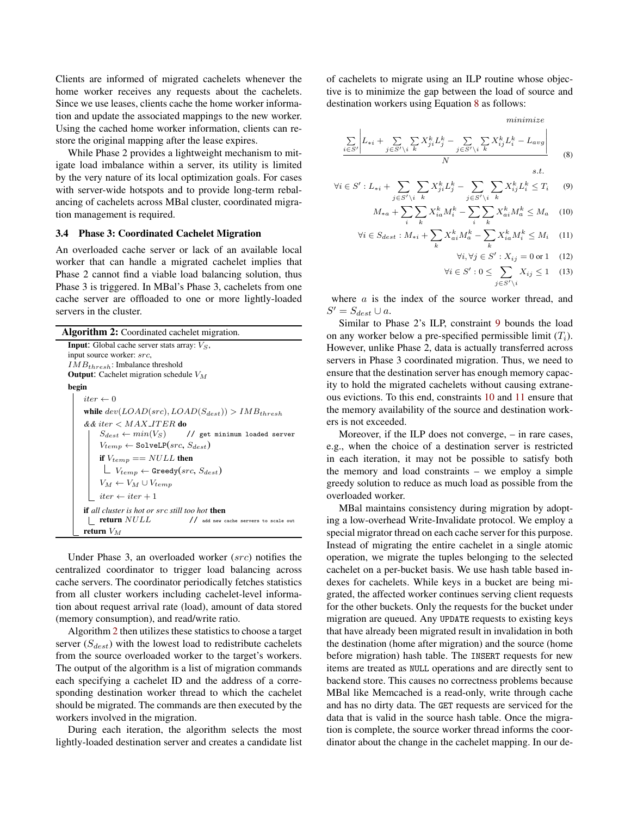Clients are informed of migrated cachelets whenever the home worker receives any requests about the cachelets. Since we use leases, clients cache the home worker information and update the associated mappings to the new worker. Using the cached home worker information, clients can restore the original mapping after the lease expires.

While Phase 2 provides a lightweight mechanism to mitigate load imbalance within a server, its utility is limited by the very nature of its local optimization goals. For cases with server-wide hotspots and to provide long-term rebalancing of cachelets across MBal cluster, coordinated migration management is required.

#### 3.4 Phase 3: Coordinated Cachelet Migration

An overloaded cache server or lack of an available local worker that can handle a migrated cachelet implies that Phase 2 cannot find a viable load balancing solution, thus Phase 3 is triggered. In MBal's Phase 3, cachelets from one cache server are offloaded to one or more lightly-loaded servers in the cluster.

| <b>Algorithm 2:</b> Coordinated cachelet migration.           |  |  |  |
|---------------------------------------------------------------|--|--|--|
| <b>Input:</b> Global cache server stats array: $V_S$ ,        |  |  |  |
| input source worker: src,                                     |  |  |  |
| $IMB_{thresh}$ : Imbalance threshold                          |  |  |  |
| <b>Output:</b> Cachelet migration schedule $V_M$              |  |  |  |
| begin                                                         |  |  |  |
| iter $\leftarrow 0$                                           |  |  |  |
| while $dev(LOAD(src), LOAD(S_{dest})) > IMB_{thresh}$         |  |  |  |
| $&$ & iter $< MAX$ ITER do                                    |  |  |  |
| $S_{dest} \leftarrow min(V_S)$ // get minimum loaded server   |  |  |  |
| $V_{temp} \leftarrow$ SolveLP(src, $S_{dest}$ )               |  |  |  |
| if $V_{temp} == NULL$ then                                    |  |  |  |
| $\perp V_{temp} \leftarrow$ Greedy $(src, S_{dest})$          |  |  |  |
| $V_M \leftarrow V_M \cup V_{temp}$                            |  |  |  |
| $iter \leftarrow iter + 1$                                    |  |  |  |
| <b>if</b> all cluster is hot or src still too hot <b>then</b> |  |  |  |
| return NULL<br>// add new cache servers to scale out          |  |  |  |
| return $V_M$                                                  |  |  |  |

<span id="page-7-0"></span>Under Phase 3, an overloaded worker (src) notifies the centralized coordinator to trigger load balancing across cache servers. The coordinator periodically fetches statistics from all cluster workers including cachelet-level information about request arrival rate (load), amount of data stored (memory consumption), and read/write ratio.

Algorithm [2](#page-7-0) then utilizes these statistics to choose a target server  $(S_{dest})$  with the lowest load to redistribute cachelets from the source overloaded worker to the target's workers. The output of the algorithm is a list of migration commands each specifying a cachelet ID and the address of a corresponding destination worker thread to which the cachelet should be migrated. The commands are then executed by the workers involved in the migration.

During each iteration, the algorithm selects the most lightly-loaded destination server and creates a candidate list of cachelets to migrate using an ILP routine whose objective is to minimize the gap between the load of source and destination workers using Equation [8](#page-7-1) as follows:

$$
\frac{\sum\limits_{i \in S'} \left| L_{*i} + \sum\limits_{j \in S' \setminus i} \sum\limits_{k} X_{ji}^{k} L_{j}^{k} - \sum\limits_{j \in S' \setminus i} \sum\limits_{k} X_{ij}^{k} L_{i}^{k} - L_{avg} \right|}{N}
$$
\n(8)

$$
\forall i \in S': L_{*i} + \sum_{j \in S' \setminus i} \sum_{k} X_{ji}^{k} L_{j}^{k} - \sum_{j \in S' \setminus i} \sum_{k} X_{ij}^{k} L_{i}^{k} \le T_{i} \qquad (9)
$$

$$
M_{*a} + \sum_{i} \sum_{k} X_{ia}^{k} M_{i}^{k} - \sum_{i} \sum_{k} X_{ai}^{k} M_{a}^{k} \le M_{a} \quad (10)
$$

$$
\forall i \in S_{dest} : M_{*i} + \sum_{k} X_{ai}^{k} M_{a}^{k} - \sum_{k} X_{ia}^{k} M_{i}^{k} \le M_{i} \quad (11)
$$

<span id="page-7-4"></span><span id="page-7-3"></span><span id="page-7-2"></span><span id="page-7-1"></span>
$$
\forall i, \forall j \in S' : X_{ij} = 0 \text{ or } 1 \quad (12)
$$

$$
\forall i \in S': 0 \le \sum_{j \in S' \setminus i} X_{ij} \le 1 \quad (13)
$$

where  $a$  is the index of the source worker thread, and  $S' = S_{dest} \cup a$ .

Similar to Phase 2's ILP, constraint [9](#page-7-2) bounds the load on any worker below a pre-specified permissible limit  $(T_i)$ . However, unlike Phase 2, data is actually transferred across servers in Phase 3 coordinated migration. Thus, we need to ensure that the destination server has enough memory capacity to hold the migrated cachelets without causing extraneous evictions. To this end, constraints [10](#page-7-3) and [11](#page-7-4) ensure that the memory availability of the source and destination workers is not exceeded.

Moreover, if the ILP does not converge, – in rare cases, e.g., when the choice of a destination server is restricted in each iteration, it may not be possible to satisfy both the memory and load constraints – we employ a simple greedy solution to reduce as much load as possible from the overloaded worker.

MBal maintains consistency during migration by adopting a low-overhead Write-Invalidate protocol. We employ a special migrator thread on each cache server for this purpose. Instead of migrating the entire cachelet in a single atomic operation, we migrate the tuples belonging to the selected cachelet on a per-bucket basis. We use hash table based indexes for cachelets. While keys in a bucket are being migrated, the affected worker continues serving client requests for the other buckets. Only the requests for the bucket under migration are queued. Any UPDATE requests to existing keys that have already been migrated result in invalidation in both the destination (home after migration) and the source (home before migration) hash table. The INSERT requests for new items are treated as NULL operations and are directly sent to backend store. This causes no correctness problems because MBal like Memcached is a read-only, write through cache and has no dirty data. The GET requests are serviced for the data that is valid in the source hash table. Once the migration is complete, the source worker thread informs the coordinator about the change in the cachelet mapping. In our de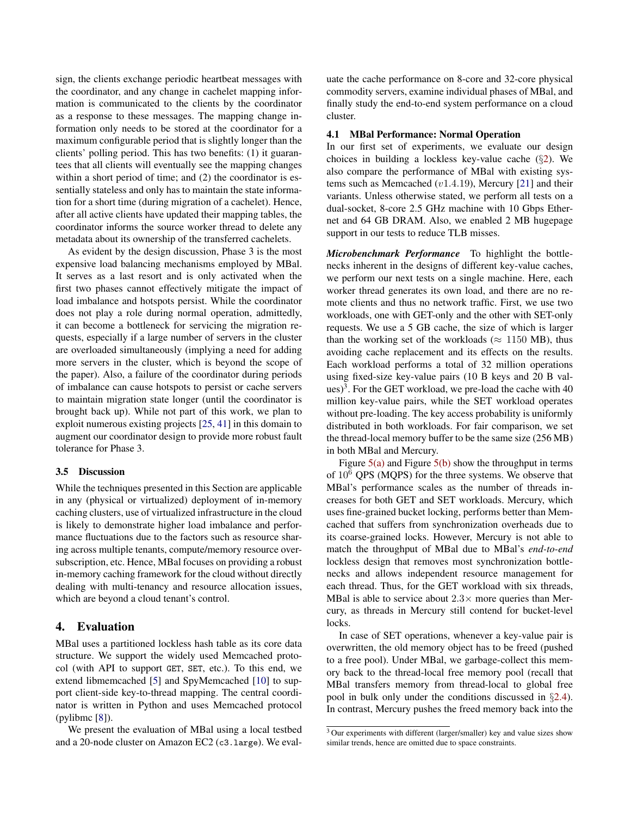sign, the clients exchange periodic heartbeat messages with the coordinator, and any change in cachelet mapping information is communicated to the clients by the coordinator as a response to these messages. The mapping change information only needs to be stored at the coordinator for a maximum configurable period that is slightly longer than the clients' polling period. This has two benefits: (1) it guarantees that all clients will eventually see the mapping changes within a short period of time; and (2) the coordinator is essentially stateless and only has to maintain the state information for a short time (during migration of a cachelet). Hence, after all active clients have updated their mapping tables, the coordinator informs the source worker thread to delete any metadata about its ownership of the transferred cachelets.

As evident by the design discussion, Phase 3 is the most expensive load balancing mechanisms employed by MBal. It serves as a last resort and is only activated when the first two phases cannot effectively mitigate the impact of load imbalance and hotspots persist. While the coordinator does not play a role during normal operation, admittedly, it can become a bottleneck for servicing the migration requests, especially if a large number of servers in the cluster are overloaded simultaneously (implying a need for adding more servers in the cluster, which is beyond the scope of the paper). Also, a failure of the coordinator during periods of imbalance can cause hotspots to persist or cache servers to maintain migration state longer (until the coordinator is brought back up). While not part of this work, we plan to exploit numerous existing projects [\[25](#page-14-15), [41\]](#page-15-8) in this domain to augment our coordinator design to provide more robust fault tolerance for Phase 3.

#### 3.5 Discussion

While the techniques presented in this Section are applicable in any (physical or virtualized) deployment of in-memory caching clusters, use of virtualized infrastructure in the cloud is likely to demonstrate higher load imbalance and performance fluctuations due to the factors such as resource sharing across multiple tenants, compute/memory resource oversubscription, etc. Hence, MBal focuses on providing a robust in-memory caching framework for the cloud without directly dealing with multi-tenancy and resource allocation issues, which are beyond a cloud tenant's control.

## <span id="page-8-0"></span>4. Evaluation

MBal uses a partitioned lockless hash table as its core data structure. We support the widely used Memcached protocol (with API to support GET, SET, etc.). To this end, we extend libmemcached [\[5](#page-14-16)] and SpyMemcached [\[10](#page-14-17)] to support client-side key-to-thread mapping. The central coordinator is written in Python and uses Memcached protocol (pylibmc [\[8\]](#page-14-18)).

We present the evaluation of MBal using a local testbed and a 20-node cluster on Amazon EC2 (c3.large). We evaluate the cache performance on 8-core and 32-core physical commodity servers, examine individual phases of MBal, and finally study the end-to-end system performance on a cloud cluster.

#### <span id="page-8-1"></span>4.1 MBal Performance: Normal Operation

In our first set of experiments, we evaluate our design choices in building a lockless key-value cache  $(\S2)$  $(\S2)$  $(\S2)$ . We also compare the performance of MBal with existing systems such as Memcached (v1.4.19), Mercury [\[21\]](#page-14-11) and their variants. Unless otherwise stated, we perform all tests on a dual-socket, 8-core 2.5 GHz machine with 10 Gbps Ethernet and 64 GB DRAM. Also, we enabled 2 MB hugepage support in our tests to reduce TLB misses.

*Microbenchmark Performance* To highlight the bottlenecks inherent in the designs of different key-value caches, we perform our next tests on a single machine. Here, each worker thread generates its own load, and there are no remote clients and thus no network traffic. First, we use two workloads, one with GET-only and the other with SET-only requests. We use a 5 GB cache, the size of which is larger than the working set of the workloads ( $\approx 1150$  MB), thus avoiding cache replacement and its effects on the results. Each workload performs a total of 32 million operations using fixed-size key-value pairs (10 B keys and 20 B values)<sup>3</sup>. For the GET workload, we pre-load the cache with  $40$ million key-value pairs, while the SET workload operates without pre-loading. The key access probability is uniformly distributed in both workloads. For fair comparison, we set the thread-local memory buffer to be the same size (256 MB) in both MBal and Mercury.

Figure  $5(a)$  and Figure  $5(b)$  show the throughput in terms of  $10^6$  QPS (MQPS) for the three systems. We observe that MBal's performance scales as the number of threads increases for both GET and SET workloads. Mercury, which uses fine-grained bucket locking, performs better than Memcached that suffers from synchronization overheads due to its coarse-grained locks. However, Mercury is not able to match the throughput of MBal due to MBal's *end-to-end* lockless design that removes most synchronization bottlenecks and allows independent resource management for each thread. Thus, for the GET workload with six threads, MBal is able to service about  $2.3\times$  more queries than Mercury, as threads in Mercury still contend for bucket-level locks.

In case of SET operations, whenever a key-value pair is overwritten, the old memory object has to be freed (pushed to a free pool). Under MBal, we garbage-collect this memory back to the thread-local free memory pool (recall that MBal transfers memory from thread-local to global free pool in bulk only under the conditions discussed in §[2.4](#page-3-2)). In contrast, Mercury pushes the freed memory back into the

<sup>&</sup>lt;sup>3</sup> Our experiments with different (larger/smaller) key and value sizes show similar trends, hence are omitted due to space constraints.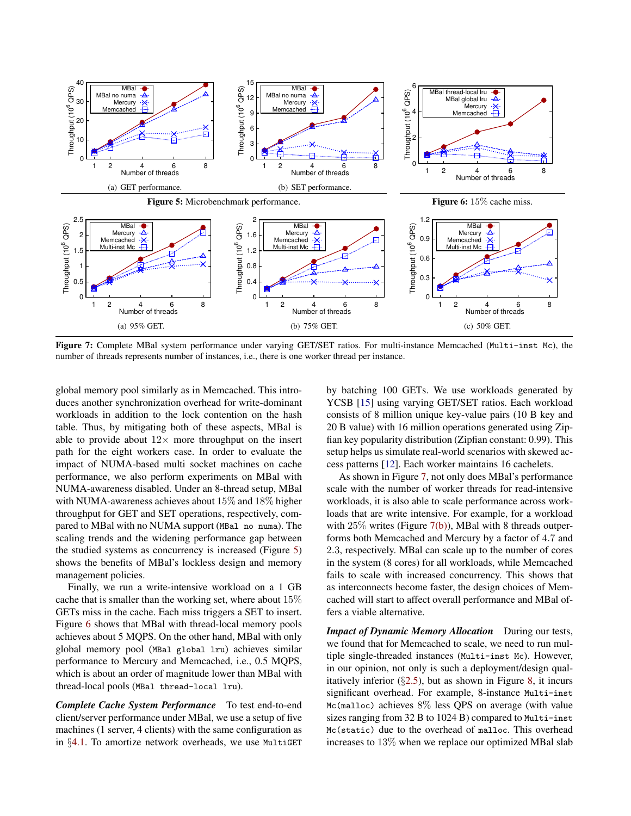<span id="page-9-3"></span><span id="page-9-2"></span><span id="page-9-1"></span><span id="page-9-0"></span>

Figure 7: Complete MBal system performance under varying GET/SET ratios. For multi-instance Memcached (Multi-inst Mc), the number of threads represents number of instances, i.e., there is one worker thread per instance.

global memory pool similarly as in Memcached. This introduces another synchronization overhead for write-dominant workloads in addition to the lock contention on the hash table. Thus, by mitigating both of these aspects, MBal is able to provide about  $12\times$  more throughput on the insert path for the eight workers case. In order to evaluate the impact of NUMA-based multi socket machines on cache performance, we also perform experiments on MBal with NUMA-awareness disabled. Under an 8-thread setup, MBal with NUMA-awareness achieves about 15% and 18% higher throughput for GET and SET operations, respectively, compared to MBal with no NUMA support (MBal no numa). The scaling trends and the widening performance gap between the studied systems as concurrency is increased (Figure [5\)](#page-9-2) shows the benefits of MBal's lockless design and memory management policies.

Finally, we run a write-intensive workload on a 1 GB cache that is smaller than the working set, where about 15% GETs miss in the cache. Each miss triggers a SET to insert. Figure [6](#page-9-2) shows that MBal with thread-local memory pools achieves about 5 MQPS. On the other hand, MBal with only global memory pool (MBal global lru) achieves similar performance to Mercury and Memcached, i.e., 0.5 MQPS, which is about an order of magnitude lower than MBal with thread-local pools (MBal thread-local lru).

*Complete Cache System Performance* To test end-to-end client/server performance under MBal, we use a setup of five machines (1 server, 4 clients) with the same configuration as in §[4.1](#page-8-1). To amortize network overheads, we use MultiGET <span id="page-9-4"></span>by batching 100 GETs. We use workloads generated by YCSB [\[15\]](#page-14-4) using varying GET/SET ratios. Each workload consists of 8 million unique key-value pairs (10 B key and 20 B value) with 16 million operations generated using Zipfian key popularity distribution (Zipfian constant: 0.99). This setup helps us simulate real-world scenarios with skewed access patterns [\[12](#page-14-1)]. Each worker maintains 16 cachelets.

As shown in Figure [7,](#page-9-3) not only does MBal's performance scale with the number of worker threads for read-intensive workloads, it is also able to scale performance across workloads that are write intensive. For example, for a workload with 25% writes (Figure [7\(b\)\)](#page-9-4), MBal with 8 threads outperforms both Memcached and Mercury by a factor of 4.7 and 2.3, respectively. MBal can scale up to the number of cores in the system (8 cores) for all workloads, while Memcached fails to scale with increased concurrency. This shows that as interconnects become faster, the design choices of Memcached will start to affect overall performance and MBal offers a viable alternative.

*Impact of Dynamic Memory Allocation* During our tests, we found that for Memcached to scale, we need to run multiple single-threaded instances (Multi-inst Mc). However, in our opinion, not only is such a deployment/design qualitatively inferior  $(\S 2.5)$  $(\S 2.5)$ , but as shown in Figure [8,](#page-10-1) it incurs significant overhead. For example, 8-instance Multi-inst Mc(malloc) achieves 8% less QPS on average (with value sizes ranging from 32 B to 1024 B) compared to Multi-inst Mc(static) due to the overhead of malloc. This overhead increases to 13% when we replace our optimized MBal slab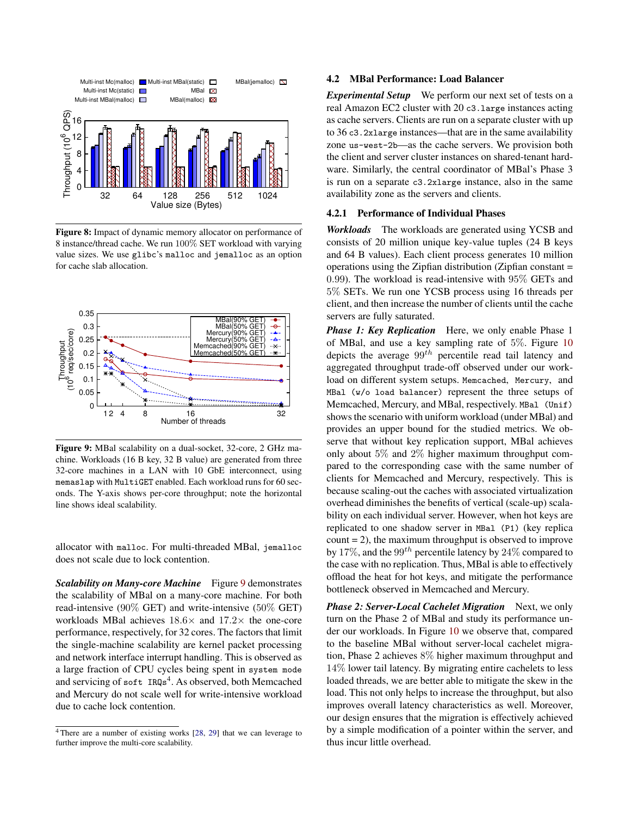<span id="page-10-1"></span>

Figure 8: Impact of dynamic memory allocator on performance of 8 instance/thread cache. We run 100% SET workload with varying value sizes. We use glibc's malloc and jemalloc as an option for cache slab allocation.

<span id="page-10-2"></span>

Figure 9: MBal scalability on a dual-socket, 32-core, 2 GHz machine. Workloads (16 B key, 32 B value) are generated from three 32-core machines in a LAN with 10 GbE interconnect, using memaslap with MultiGET enabled. Each workload runs for 60 seconds. The Y-axis shows per-core throughput; note the horizontal line shows ideal scalability.

allocator with malloc. For multi-threaded MBal, jemalloc does not scale due to lock contention.

*Scalability on Many-core Machine* Figure [9](#page-10-2) demonstrates the scalability of MBal on a many-core machine. For both read-intensive (90% GET) and write-intensive (50% GET) workloads MBal achieves  $18.6\times$  and  $17.2\times$  the one-core performance, respectively, for 32 cores. The factors that limit the single-machine scalability are kernel packet processing and network interface interrupt handling. This is observed as a large fraction of CPU cycles being spent in system mode and servicing of soft IRQs<sup>4</sup>. As observed, both Memcached and Mercury do not scale well for write-intensive workload due to cache lock contention.

#### <span id="page-10-0"></span>4.2 MBal Performance: Load Balancer

*Experimental Setup* We perform our next set of tests on a real Amazon EC2 cluster with 20 c3.large instances acting as cache servers. Clients are run on a separate cluster with up to 36 c3.2xlarge instances—that are in the same availability zone us-west-2b—as the cache servers. We provision both the client and server cluster instances on shared-tenant hardware. Similarly, the central coordinator of MBal's Phase 3 is run on a separate c3.2xlarge instance, also in the same availability zone as the servers and clients.

#### 4.2.1 Performance of Individual Phases

*Workloads* The workloads are generated using YCSB and consists of 20 million unique key-value tuples (24 B keys and 64 B values). Each client process generates 10 million operations using the Zipfian distribution (Zipfian constant = 0.99). The workload is read-intensive with 95% GETs and 5% SETs. We run one YCSB process using 16 threads per client, and then increase the number of clients until the cache servers are fully saturated.

*Phase 1: Key Replication* Here, we only enable Phase 1 of MBal, and use a key sampling rate of 5%. Figure [10](#page-11-0) depicts the average  $99^{th}$  percentile read tail latency and aggregated throughput trade-off observed under our workload on different system setups. Memcached, Mercury, and MBal (w/o load balancer) represent the three setups of Memcached, Mercury, and MBal, respectively. MBal (Unif) shows the scenario with uniform workload (under MBal) and provides an upper bound for the studied metrics. We observe that without key replication support, MBal achieves only about 5% and 2% higher maximum throughput compared to the corresponding case with the same number of clients for Memcached and Mercury, respectively. This is because scaling-out the caches with associated virtualization overhead diminishes the benefits of vertical (scale-up) scalability on each individual server. However, when hot keys are replicated to one shadow server in MBal (P1) (key replica  $count = 2$ , the maximum throughput is observed to improve by 17%, and the 99<sup>th</sup> percentile latency by 24% compared to the case with no replication. Thus, MBal is able to effectively offload the heat for hot keys, and mitigate the performance bottleneck observed in Memcached and Mercury.

*Phase 2: Server-Local Cachelet Migration* Next, we only turn on the Phase 2 of MBal and study its performance under our workloads. In Figure [10](#page-11-0) we observe that, compared to the baseline MBal without server-local cachelet migration, Phase 2 achieves 8% higher maximum throughput and 14% lower tail latency. By migrating entire cachelets to less loaded threads, we are better able to mitigate the skew in the load. This not only helps to increase the throughput, but also improves overall latency characteristics as well. Moreover, our design ensures that the migration is effectively achieved by a simple modification of a pointer within the server, and thus incur little overhead.

<sup>&</sup>lt;sup>4</sup>There are a number of existing works [\[28](#page-14-19), [29](#page-14-20)] that we can leverage to further improve the multi-core scalability.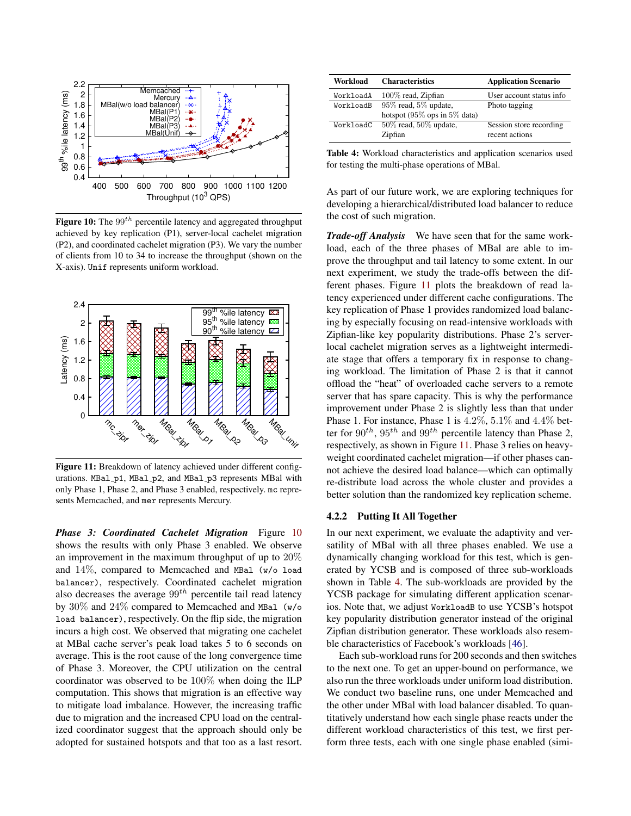<span id="page-11-0"></span>

Figure 10: The  $99<sup>th</sup>$  percentile latency and aggregated throughput achieved by key replication (P1), server-local cachelet migration (P2), and coordinated cachelet migration (P3). We vary the number of clients from 10 to 34 to increase the throughput (shown on the X-axis). Unif represents uniform workload.

<span id="page-11-1"></span>

Figure 11: Breakdown of latency achieved under different configurations. MBal\_p1, MBal\_p2, and MBal\_p3 represents MBal with only Phase 1, Phase 2, and Phase 3 enabled, respectively. mc represents Memcached, and mer represents Mercury.

*Phase 3: Coordinated Cachelet Migration* Figure [10](#page-11-0) shows the results with only Phase 3 enabled. We observe an improvement in the maximum throughput of up to 20% and 14%, compared to Memcached and MBal (w/o load balancer), respectively. Coordinated cachelet migration also decreases the average  $99<sup>th</sup>$  percentile tail read latency by 30% and 24% compared to Memcached and MBal (w/o load balancer), respectively. On the flip side, the migration incurs a high cost. We observed that migrating one cachelet at MBal cache server's peak load takes 5 to 6 seconds on average. This is the root cause of the long convergence time of Phase 3. Moreover, the CPU utilization on the central coordinator was observed to be 100% when doing the ILP computation. This shows that migration is an effective way to mitigate load imbalance. However, the increasing traffic due to migration and the increased CPU load on the centralized coordinator suggest that the approach should only be adopted for sustained hotspots and that too as a last resort.

<span id="page-11-2"></span>

| Workload  | <b>Characteristics</b>       | <b>Application Scenario</b> |
|-----------|------------------------------|-----------------------------|
| WorkloadA | 100% read, Zipfian           | User account status info    |
| WorkloadB | $95\%$ read, $5\%$ update,   | Photo tagging               |
|           | hotspot (95% ops in 5% data) |                             |
| WorkloadC | $50\%$ read, $50\%$ update,  | Session store recording     |
|           | Zipfian                      | recent actions              |
|           |                              |                             |

Table 4: Workload characteristics and application scenarios used for testing the multi-phase operations of MBal.

As part of our future work, we are exploring techniques for developing a hierarchical/distributed load balancer to reduce the cost of such migration.

*Trade-off Analysis* We have seen that for the same workload, each of the three phases of MBal are able to improve the throughput and tail latency to some extent. In our next experiment, we study the trade-offs between the different phases. Figure [11](#page-11-1) plots the breakdown of read latency experienced under different cache configurations. The key replication of Phase 1 provides randomized load balancing by especially focusing on read-intensive workloads with Zipfian-like key popularity distributions. Phase 2's serverlocal cachelet migration serves as a lightweight intermediate stage that offers a temporary fix in response to changing workload. The limitation of Phase 2 is that it cannot offload the "heat" of overloaded cache servers to a remote server that has spare capacity. This is why the performance improvement under Phase 2 is slightly less than that under Phase 1. For instance, Phase 1 is 4.2%, 5.1% and 4.4% better for  $90^{th}$ ,  $95^{th}$  and  $99^{th}$  percentile latency than Phase 2, respectively, as shown in Figure [11.](#page-11-1) Phase 3 relies on heavyweight coordinated cachelet migration—if other phases cannot achieve the desired load balance—which can optimally re-distribute load across the whole cluster and provides a better solution than the randomized key replication scheme.

#### 4.2.2 Putting It All Together

In our next experiment, we evaluate the adaptivity and versatility of MBal with all three phases enabled. We use a dynamically changing workload for this test, which is generated by YCSB and is composed of three sub-workloads shown in Table [4.](#page-11-2) The sub-workloads are provided by the YCSB package for simulating different application scenarios. Note that, we adjust WorkloadB to use YCSB's hotspot key popularity distribution generator instead of the original Zipfian distribution generator. These workloads also resemble characteristics of Facebook's workloads [\[46\]](#page-15-1).

Each sub-workload runs for 200 seconds and then switches to the next one. To get an upper-bound on performance, we also run the three workloads under uniform load distribution. We conduct two baseline runs, one under Memcached and the other under MBal with load balancer disabled. To quantitatively understand how each single phase reacts under the different workload characteristics of this test, we first perform three tests, each with one single phase enabled (simi-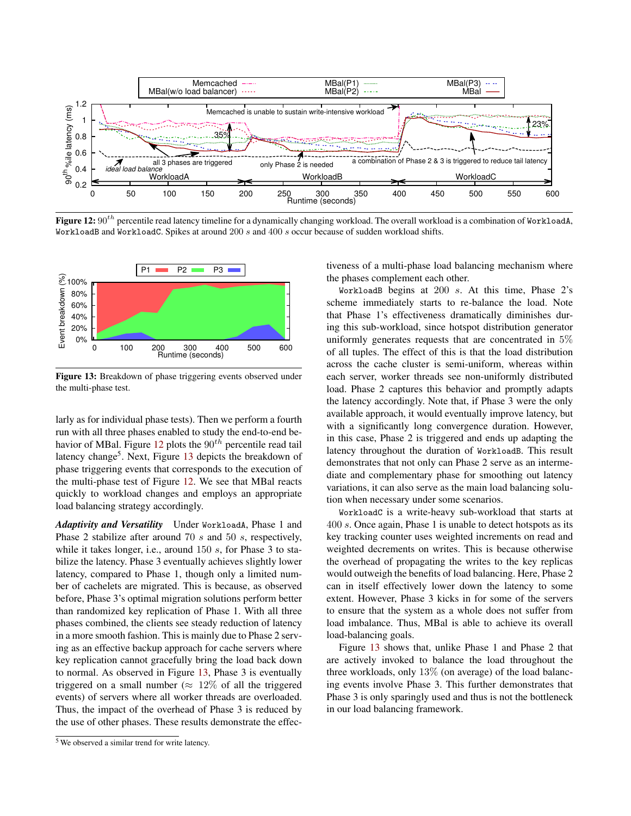<span id="page-12-0"></span>

Figure 12:  $90^{th}$  percentile read latency timeline for a dynamically changing workload. The overall workload is a combination of WorkloadA, WorkloadB and WorkloadC. Spikes at around 200 s and 400 s occur because of sudden workload shifts.

<span id="page-12-1"></span>

Figure 13: Breakdown of phase triggering events observed under the multi-phase test.

larly as for individual phase tests). Then we perform a fourth run with all three phases enabled to study the end-to-end be-havior of MBal. Figure [12](#page-12-0) plots the  $90<sup>th</sup>$  percentile read tail latency change<sup>5</sup>. Next, Figure [13](#page-12-1) depicts the breakdown of phase triggering events that corresponds to the execution of the multi-phase test of Figure [12.](#page-12-0) We see that MBal reacts quickly to workload changes and employs an appropriate load balancing strategy accordingly.

*Adaptivity and Versatility* Under WorkloadA, Phase 1 and Phase 2 stabilize after around 70 s and 50 s, respectively, while it takes longer, i.e., around 150 s, for Phase 3 to stabilize the latency. Phase 3 eventually achieves slightly lower latency, compared to Phase 1, though only a limited number of cachelets are migrated. This is because, as observed before, Phase 3's optimal migration solutions perform better than randomized key replication of Phase 1. With all three phases combined, the clients see steady reduction of latency in a more smooth fashion. This is mainly due to Phase 2 serving as an effective backup approach for cache servers where key replication cannot gracefully bring the load back down to normal. As observed in Figure [13,](#page-12-1) Phase 3 is eventually triggered on a small number ( $\approx 12\%$  of all the triggered events) of servers where all worker threads are overloaded. Thus, the impact of the overhead of Phase 3 is reduced by the use of other phases. These results demonstrate the effectiveness of a multi-phase load balancing mechanism where the phases complement each other.

WorkloadB begins at  $200 s$ . At this time, Phase  $2's$ scheme immediately starts to re-balance the load. Note that Phase 1's effectiveness dramatically diminishes during this sub-workload, since hotspot distribution generator uniformly generates requests that are concentrated in 5% of all tuples. The effect of this is that the load distribution across the cache cluster is semi-uniform, whereas within each server, worker threads see non-uniformly distributed load. Phase 2 captures this behavior and promptly adapts the latency accordingly. Note that, if Phase 3 were the only available approach, it would eventually improve latency, but with a significantly long convergence duration. However, in this case, Phase 2 is triggered and ends up adapting the latency throughout the duration of WorkloadB. This result demonstrates that not only can Phase 2 serve as an intermediate and complementary phase for smoothing out latency variations, it can also serve as the main load balancing solution when necessary under some scenarios.

WorkloadC is a write-heavy sub-workload that starts at 400 s. Once again, Phase 1 is unable to detect hotspots as its key tracking counter uses weighted increments on read and weighted decrements on writes. This is because otherwise the overhead of propagating the writes to the key replicas would outweigh the benefits of load balancing. Here, Phase 2 can in itself effectively lower down the latency to some extent. However, Phase 3 kicks in for some of the servers to ensure that the system as a whole does not suffer from load imbalance. Thus, MBal is able to achieve its overall load-balancing goals.

Figure [13](#page-12-1) shows that, unlike Phase 1 and Phase 2 that are actively invoked to balance the load throughout the three workloads, only 13% (on average) of the load balancing events involve Phase 3. This further demonstrates that Phase 3 is only sparingly used and thus is not the bottleneck in our load balancing framework.

<sup>5</sup> We observed a similar trend for write latency.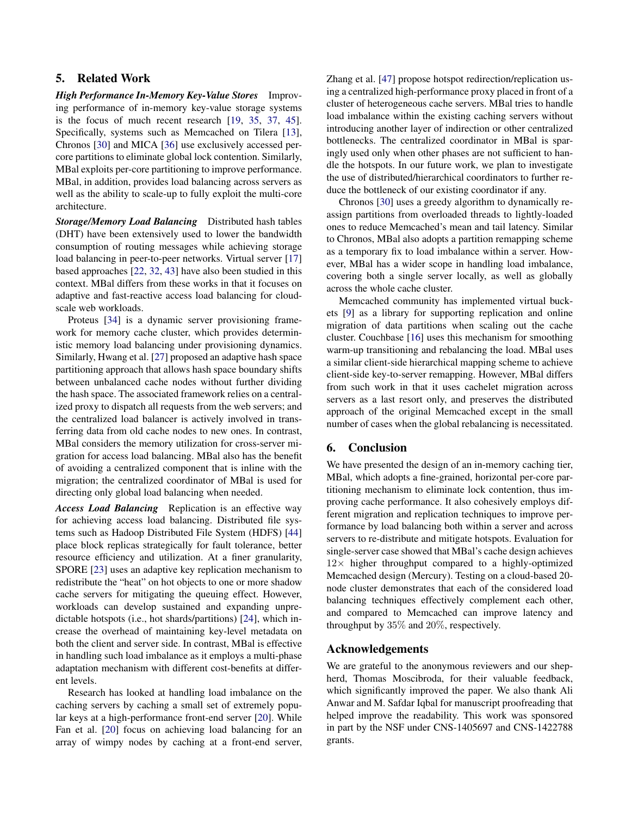## <span id="page-13-0"></span>5. Related Work

*High Performance In-Memory Key-Value Stores* Improving performance of in-memory key-value storage systems is the focus of much recent research [\[19,](#page-14-21) [35,](#page-15-9) [37](#page-15-10), [45](#page-15-11)]. Specifically, systems such as Memcached on Tilera [\[13](#page-14-22)], Chronos [\[30\]](#page-14-8) and MICA [\[36\]](#page-15-3) use exclusively accessed percore partitions to eliminate global lock contention. Similarly, MBal exploits per-core partitioning to improve performance. MBal, in addition, provides load balancing across servers as well as the ability to scale-up to fully exploit the multi-core architecture.

*Storage/Memory Load Balancing* Distributed hash tables (DHT) have been extensively used to lower the bandwidth consumption of routing messages while achieving storage load balancing in peer-to-peer networks. Virtual server [\[17\]](#page-14-23) based approaches [\[22,](#page-14-24) [32,](#page-15-12) [43](#page-15-13)] have also been studied in this context. MBal differs from these works in that it focuses on adaptive and fast-reactive access load balancing for cloudscale web workloads.

Proteus [\[34](#page-15-14)] is a dynamic server provisioning framework for memory cache cluster, which provides deterministic memory load balancing under provisioning dynamics. Similarly, Hwang et al. [\[27\]](#page-14-25) proposed an adaptive hash space partitioning approach that allows hash space boundary shifts between unbalanced cache nodes without further dividing the hash space. The associated framework relies on a centralized proxy to dispatch all requests from the web servers; and the centralized load balancer is actively involved in transferring data from old cache nodes to new ones. In contrast, MBal considers the memory utilization for cross-server migration for access load balancing. MBal also has the benefit of avoiding a centralized component that is inline with the migration; the centralized coordinator of MBal is used for directing only global load balancing when needed.

*Access Load Balancing* Replication is an effective way for achieving access load balancing. Distributed file systems such as Hadoop Distributed File System (HDFS) [\[44\]](#page-15-15) place block replicas strategically for fault tolerance, better resource efficiency and utilization. At a finer granularity, SPORE [\[23\]](#page-14-5) uses an adaptive key replication mechanism to redistribute the "heat" on hot objects to one or more shadow cache servers for mitigating the queuing effect. However, workloads can develop sustained and expanding unpredictable hotspots (i.e., hot shards/partitions) [\[24](#page-14-26)], which increase the overhead of maintaining key-level metadata on both the client and server side. In contrast, MBal is effective in handling such load imbalance as it employs a multi-phase adaptation mechanism with different cost-benefits at different levels.

Research has looked at handling load imbalance on the caching servers by caching a small set of extremely popular keys at a high-performance front-end server [\[20](#page-14-27)]. While Fan et al. [\[20](#page-14-27)] focus on achieving load balancing for an array of wimpy nodes by caching at a front-end server,

Zhang et al. [\[47\]](#page-15-16) propose hotspot redirection/replication using a centralized high-performance proxy placed in front of a cluster of heterogeneous cache servers. MBal tries to handle load imbalance within the existing caching servers without introducing another layer of indirection or other centralized bottlenecks. The centralized coordinator in MBal is sparingly used only when other phases are not sufficient to handle the hotspots. In our future work, we plan to investigate the use of distributed/hierarchical coordinators to further reduce the bottleneck of our existing coordinator if any.

Chronos [\[30\]](#page-14-8) uses a greedy algorithm to dynamically reassign partitions from overloaded threads to lightly-loaded ones to reduce Memcached's mean and tail latency. Similar to Chronos, MBal also adopts a partition remapping scheme as a temporary fix to load imbalance within a server. However, MBal has a wider scope in handling load imbalance, covering both a single server locally, as well as globally across the whole cache cluster.

Memcached community has implemented virtual buckets [\[9\]](#page-14-28) as a library for supporting replication and online migration of data partitions when scaling out the cache cluster. Couchbase [\[16](#page-14-29)] uses this mechanism for smoothing warm-up transitioning and rebalancing the load. MBal uses a similar client-side hierarchical mapping scheme to achieve client-side key-to-server remapping. However, MBal differs from such work in that it uses cachelet migration across servers as a last resort only, and preserves the distributed approach of the original Memcached except in the small number of cases when the global rebalancing is necessitated.

## <span id="page-13-1"></span>6. Conclusion

We have presented the design of an in-memory caching tier, MBal, which adopts a fine-grained, horizontal per-core partitioning mechanism to eliminate lock contention, thus improving cache performance. It also cohesively employs different migration and replication techniques to improve performance by load balancing both within a server and across servers to re-distribute and mitigate hotspots. Evaluation for single-server case showed that MBal's cache design achieves  $12\times$  higher throughput compared to a highly-optimized Memcached design (Mercury). Testing on a cloud-based 20 node cluster demonstrates that each of the considered load balancing techniques effectively complement each other, and compared to Memcached can improve latency and throughput by 35% and 20%, respectively.

## Acknowledgements

We are grateful to the anonymous reviewers and our shepherd, Thomas Moscibroda, for their valuable feedback, which significantly improved the paper. We also thank Ali Anwar and M. Safdar Iqbal for manuscript proofreading that helped improve the readability. This work was sponsored in part by the NSF under CNS-1405697 and CNS-1422788 grants.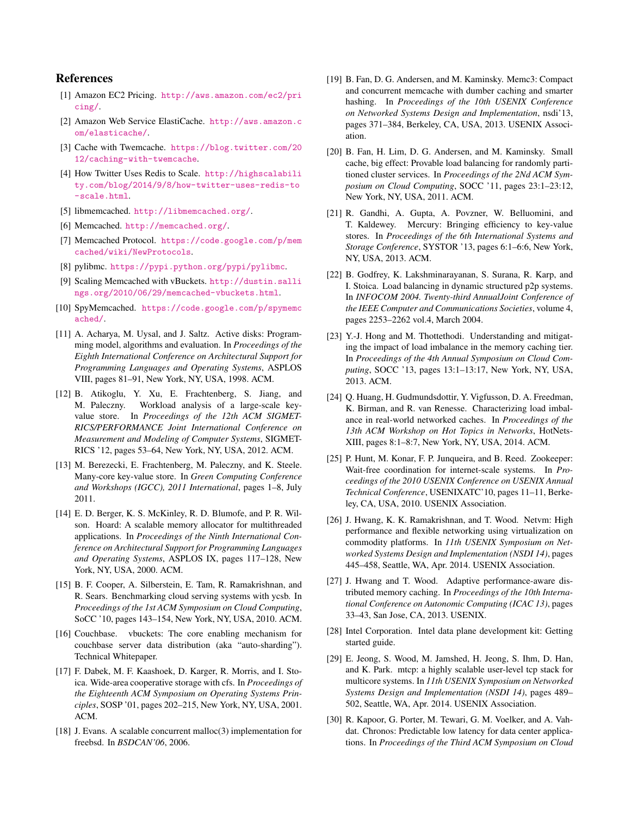## References

- <span id="page-14-3"></span>[1] Amazon EC2 Pricing. [http://aws.amazon.com/ec2/pri](http://aws.amazon.com/ec2/pricing/) [cing/](http://aws.amazon.com/ec2/pricing/).
- <span id="page-14-2"></span>[2] Amazon Web Service ElastiCache. [http://aws.amazon.c](http://aws.amazon.com/elasticache/) [om/elasticache/](http://aws.amazon.com/elasticache/).
- <span id="page-14-6"></span>[3] Cache with Twemcache. [https://blog.twitter.com/20](https://blog.twitter.com/2012/caching-with-twemcache) [12/caching-with-twemcache](https://blog.twitter.com/2012/caching-with-twemcache).
- <span id="page-14-14"></span>[4] How Twitter Uses Redis to Scale. [http://highscalabili](http://highscalability.com/blog/2014/9/8/how-twitter-uses-redis-to-scale.html) [ty.com/blog/2014/9/8/how-twitter-uses-redis-to](http://highscalability.com/blog/2014/9/8/how-twitter-uses-redis-to-scale.html) [-scale.html](http://highscalability.com/blog/2014/9/8/how-twitter-uses-redis-to-scale.html).
- <span id="page-14-16"></span>[5] libmemcached. <http://libmemcached.org/>.
- <span id="page-14-0"></span>[6] Memcached. <http://memcached.org/>.
- <span id="page-14-10"></span>[7] Memcached Protocol. [https://code.google.com/p/mem](https://code.google.com/p/memcached/wiki/NewProtocols) [cached/wiki/NewProtocols](https://code.google.com/p/memcached/wiki/NewProtocols).
- <span id="page-14-18"></span>[8] pylibmc. <https://pypi.python.org/pypi/pylibmc>.
- <span id="page-14-28"></span>[9] Scaling Memcached with vBuckets. [http://dustin.salli](http://dustin.sallings.org/2010/06/29/memcached-vbuckets.html) [ngs.org/2010/06/29/memcached-vbuckets.html](http://dustin.sallings.org/2010/06/29/memcached-vbuckets.html).
- <span id="page-14-17"></span>[10] SpyMemcached. [https://code.google.com/p/spymemc](https://code.google.com/p/spymemcached/) [ached/](https://code.google.com/p/spymemcached/).
- <span id="page-14-9"></span>[11] A. Acharya, M. Uysal, and J. Saltz. Active disks: Programming model, algorithms and evaluation. In *Proceedings of the Eighth International Conference on Architectural Support for Programming Languages and Operating Systems*, ASPLOS VIII, pages 81–91, New York, NY, USA, 1998. ACM.
- <span id="page-14-1"></span>[12] B. Atikoglu, Y. Xu, E. Frachtenberg, S. Jiang, and M. Paleczny. Workload analysis of a large-scale keyvalue store. In *Proceedings of the 12th ACM SIGMET-RICS/PERFORMANCE Joint International Conference on Measurement and Modeling of Computer Systems*, SIGMET-RICS '12, pages 53–64, New York, NY, USA, 2012. ACM.
- <span id="page-14-22"></span>[13] M. Berezecki, E. Frachtenberg, M. Paleczny, and K. Steele. Many-core key-value store. In *Green Computing Conference and Workshops (IGCC), 2011 International*, pages 1–8, July 2011.
- <span id="page-14-12"></span>[14] E. D. Berger, K. S. McKinley, R. D. Blumofe, and P. R. Wilson. Hoard: A scalable memory allocator for multithreaded applications. In *Proceedings of the Ninth International Conference on Architectural Support for Programming Languages and Operating Systems*, ASPLOS IX, pages 117–128, New York, NY, USA, 2000. ACM.
- <span id="page-14-4"></span>[15] B. F. Cooper, A. Silberstein, E. Tam, R. Ramakrishnan, and R. Sears. Benchmarking cloud serving systems with ycsb. In *Proceedings of the 1st ACM Symposium on Cloud Computing*, SoCC '10, pages 143–154, New York, NY, USA, 2010. ACM.
- <span id="page-14-29"></span>[16] Couchbase. vbuckets: The core enabling mechanism for couchbase server data distribution (aka "auto-sharding"). Technical Whitepaper.
- <span id="page-14-23"></span>[17] F. Dabek, M. F. Kaashoek, D. Karger, R. Morris, and I. Stoica. Wide-area cooperative storage with cfs. In *Proceedings of the Eighteenth ACM Symposium on Operating Systems Principles*, SOSP '01, pages 202–215, New York, NY, USA, 2001. ACM.
- <span id="page-14-13"></span>[18] J. Evans. A scalable concurrent malloc(3) implementation for freebsd. In *BSDCAN'06*, 2006.
- <span id="page-14-21"></span>[19] B. Fan, D. G. Andersen, and M. Kaminsky. Memc3: Compact and concurrent memcache with dumber caching and smarter hashing. In *Proceedings of the 10th USENIX Conference on Networked Systems Design and Implementation*, nsdi'13, pages 371–384, Berkeley, CA, USA, 2013. USENIX Association.
- <span id="page-14-27"></span>[20] B. Fan, H. Lim, D. G. Andersen, and M. Kaminsky. Small cache, big effect: Provable load balancing for randomly partitioned cluster services. In *Proceedings of the 2Nd ACM Symposium on Cloud Computing*, SOCC '11, pages 23:1–23:12, New York, NY, USA, 2011. ACM.
- <span id="page-14-11"></span>[21] R. Gandhi, A. Gupta, A. Povzner, W. Belluomini, and T. Kaldewey. Mercury: Bringing efficiency to key-value stores. In *Proceedings of the 6th International Systems and Storage Conference*, SYSTOR '13, pages 6:1–6:6, New York, NY, USA, 2013. ACM.
- <span id="page-14-24"></span>[22] B. Godfrey, K. Lakshminarayanan, S. Surana, R. Karp, and I. Stoica. Load balancing in dynamic structured p2p systems. In *INFOCOM 2004. Twenty-third AnnualJoint Conference of the IEEE Computer and Communications Societies*, volume 4, pages 2253–2262 vol.4, March 2004.
- <span id="page-14-5"></span>[23] Y.-J. Hong and M. Thottethodi. Understanding and mitigating the impact of load imbalance in the memory caching tier. In *Proceedings of the 4th Annual Symposium on Cloud Computing*, SOCC '13, pages 13:1–13:17, New York, NY, USA, 2013. ACM.
- <span id="page-14-26"></span>[24] Q. Huang, H. Gudmundsdottir, Y. Vigfusson, D. A. Freedman, K. Birman, and R. van Renesse. Characterizing load imbalance in real-world networked caches. In *Proceedings of the 13th ACM Workshop on Hot Topics in Networks*, HotNets-XIII, pages 8:1–8:7, New York, NY, USA, 2014. ACM.
- <span id="page-14-15"></span>[25] P. Hunt, M. Konar, F. P. Junqueira, and B. Reed. Zookeeper: Wait-free coordination for internet-scale systems. In *Proceedings of the 2010 USENIX Conference on USENIX Annual Technical Conference*, USENIXATC'10, pages 11–11, Berkeley, CA, USA, 2010. USENIX Association.
- <span id="page-14-7"></span>[26] J. Hwang, K. K. Ramakrishnan, and T. Wood. Netvm: High performance and flexible networking using virtualization on commodity platforms. In *11th USENIX Symposium on Networked Systems Design and Implementation (NSDI 14)*, pages 445–458, Seattle, WA, Apr. 2014. USENIX Association.
- <span id="page-14-25"></span>[27] J. Hwang and T. Wood. Adaptive performance-aware distributed memory caching. In *Proceedings of the 10th International Conference on Autonomic Computing (ICAC 13)*, pages 33–43, San Jose, CA, 2013. USENIX.
- <span id="page-14-19"></span>[28] Intel Corporation. Intel data plane development kit: Getting started guide.
- <span id="page-14-20"></span>[29] E. Jeong, S. Wood, M. Jamshed, H. Jeong, S. Ihm, D. Han, and K. Park. mtcp: a highly scalable user-level tcp stack for multicore systems. In *11th USENIX Symposium on Networked Systems Design and Implementation (NSDI 14)*, pages 489– 502, Seattle, WA, Apr. 2014. USENIX Association.
- <span id="page-14-8"></span>[30] R. Kapoor, G. Porter, M. Tewari, G. M. Voelker, and A. Vahdat. Chronos: Predictable low latency for data center applications. In *Proceedings of the Third ACM Symposium on Cloud*